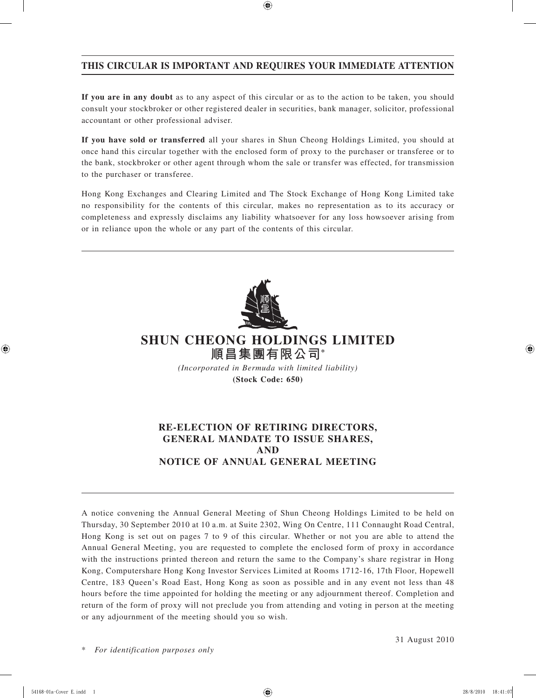## **THIS CIRCULAR IS IMPORTANT AND REQUIRES YOUR IMMEDIATE ATTENTION**

**If you are in any doubt** as to any aspect of this circular or as to the action to be taken, you should consult your stockbroker or other registered dealer in securities, bank manager, solicitor, professional accountant or other professional adviser.

**If you have sold or transferred** all your shares in Shun Cheong Holdings Limited, you should at once hand this circular together with the enclosed form of proxy to the purchaser or transferee or to the bank, stockbroker or other agent through whom the sale or transfer was effected, for transmission to the purchaser or transferee.

Hong Kong Exchanges and Clearing Limited and The Stock Exchange of Hong Kong Limited take no responsibility for the contents of this circular, makes no representation as to its accuracy or completeness and expressly disclaims any liability whatsoever for any loss howsoever arising from or in reliance upon the whole or any part of the contents of this circular.



# **SHUN CHEONG HOLDINGS LIMITED 順昌集團有限公司\***

*(Incorporated in Bermuda with limited liability)* **(Stock Code: 650)**

## **RE-ELECTION OF RETIRING DIRECTORS, GENERAL MANDATE TO ISSUE SHARES, AND NOTICE OF ANNUAL GENERAL MEETING**

A notice convening the Annual General Meeting of Shun Cheong Holdings Limited to be held on Thursday, 30 September 2010 at 10 a.m. at Suite 2302, Wing On Centre, 111 Connaught Road Central, Hong Kong is set out on pages 7 to 9 of this circular. Whether or not you are able to attend the Annual General Meeting, you are requested to complete the enclosed form of proxy in accordance with the instructions printed thereon and return the same to the Company's share registrar in Hong Kong, Computershare Hong Kong Investor Services Limited at Rooms 1712-16, 17th Floor, Hopewell Centre, 183 Queen's Road East, Hong Kong as soon as possible and in any event not less than 48 hours before the time appointed for holding the meeting or any adjournment thereof. Completion and return of the form of proxy will not preclude you from attending and voting in person at the meeting or any adjournment of the meeting should you so wish.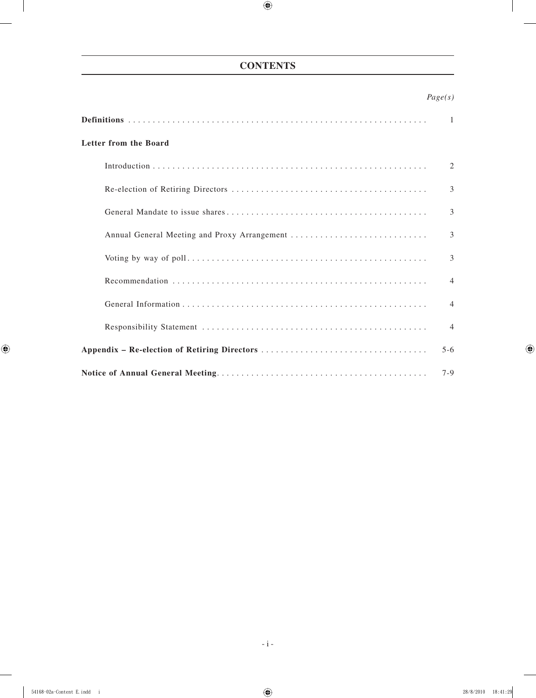## **CONTENTS**

## *Page(s)*

|                                              | -1             |
|----------------------------------------------|----------------|
| Letter from the Board                        |                |
|                                              | 2              |
|                                              | $\mathcal{E}$  |
|                                              | 3              |
| Annual General Meeting and Proxy Arrangement | 3              |
|                                              | 3              |
|                                              | $\overline{4}$ |
|                                              | $\overline{4}$ |
|                                              | $\overline{4}$ |
|                                              | $5 - 6$        |
|                                              | $7-9$          |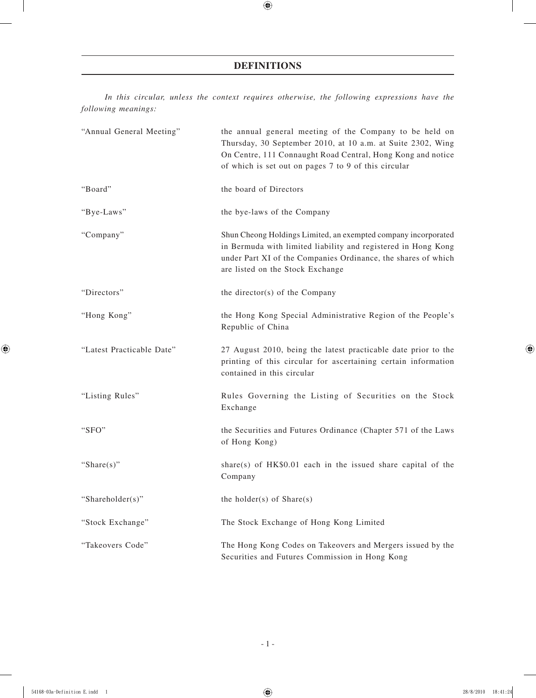## **DEFINITIONS**

*In this circular, unless the context requires otherwise, the following expressions have the following meanings:*

| "Annual General Meeting"  | the annual general meeting of the Company to be held on<br>Thursday, 30 September 2010, at 10 a.m. at Suite 2302, Wing<br>On Centre, 111 Connaught Road Central, Hong Kong and notice<br>of which is set out on pages 7 to 9 of this circular |
|---------------------------|-----------------------------------------------------------------------------------------------------------------------------------------------------------------------------------------------------------------------------------------------|
| "Board"                   | the board of Directors                                                                                                                                                                                                                        |
| "Bye-Laws"                | the bye-laws of the Company                                                                                                                                                                                                                   |
| "Company"                 | Shun Cheong Holdings Limited, an exempted company incorporated<br>in Bermuda with limited liability and registered in Hong Kong<br>under Part XI of the Companies Ordinance, the shares of which<br>are listed on the Stock Exchange          |
| "Directors"               | the director(s) of the Company                                                                                                                                                                                                                |
| "Hong Kong"               | the Hong Kong Special Administrative Region of the People's<br>Republic of China                                                                                                                                                              |
| "Latest Practicable Date" | 27 August 2010, being the latest practicable date prior to the<br>printing of this circular for ascertaining certain information<br>contained in this circular                                                                                |
| "Listing Rules"           | Rules Governing the Listing of Securities on the Stock<br>Exchange                                                                                                                                                                            |
| "SFO"                     | the Securities and Futures Ordinance (Chapter 571 of the Laws<br>of Hong Kong)                                                                                                                                                                |
| "Share $(s)$ "            | share(s) of $HK$0.01$ each in the issued share capital of the<br>Company                                                                                                                                                                      |
| "Shareholder(s)"          | the holder(s) of $Share(s)$                                                                                                                                                                                                                   |
| "Stock Exchange"          | The Stock Exchange of Hong Kong Limited                                                                                                                                                                                                       |
| "Takeovers Code"          | The Hong Kong Codes on Takeovers and Mergers issued by the<br>Securities and Futures Commission in Hong Kong                                                                                                                                  |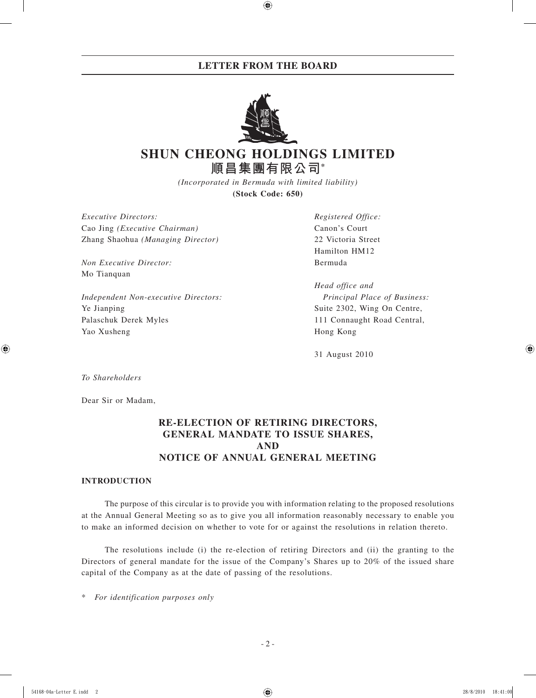## **LETTER FROM THE BOARD**



# **SHUN CHEONG HOLDINGS LIMITED 順昌集團有限公司\***

*(Incorporated in Bermuda with limited liability)* **(Stock Code: 650)**

*Executive Directors: Registered Office:* Cao Jing *(Executive Chairman)* Canon's Court Zhang Shaohua *(Managing Director)* 22 Victoria Street

*Non Executive Director:* Bermuda Mo Tianquan

*Independent Non-executive Directors: Principal Place of Business:* Ye Jianping Suite 2302, Wing On Centre, Palaschuk Derek Myles 111 Connaught Road Central, Yao Xusheng Hong Kong

Hamilton HM12

*Head office and*

31 August 2010

*To Shareholders*

Dear Sir or Madam,

## **RE-ELECTION OF RETIRING DIRECTORS, GENERAL MANDATE TO ISSUE SHARES, AND NOTICE OF ANNUAL GENERAL MEETING**

#### **INTRODUCTION**

The purpose of this circular is to provide you with information relating to the proposed resolutions at the Annual General Meeting so as to give you all information reasonably necessary to enable you to make an informed decision on whether to vote for or against the resolutions in relation thereto.

The resolutions include (i) the re-election of retiring Directors and (ii) the granting to the Directors of general mandate for the issue of the Company's Shares up to 20% of the issued share capital of the Company as at the date of passing of the resolutions.

 $For$  *identification purposes only*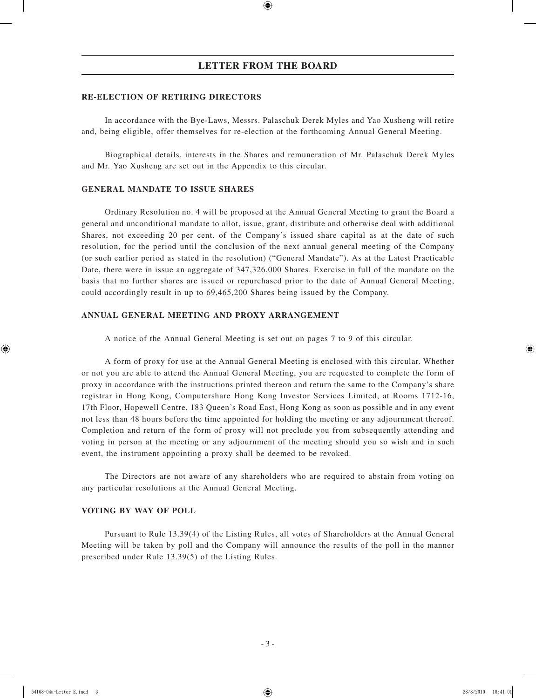#### **RE-ELECTION OF RETIRING DIRECTORS**

In accordance with the Bye-Laws, Messrs. Palaschuk Derek Myles and Yao Xusheng will retire and, being eligible, offer themselves for re-election at the forthcoming Annual General Meeting.

Biographical details, interests in the Shares and remuneration of Mr. Palaschuk Derek Myles and Mr. Yao Xusheng are set out in the Appendix to this circular.

#### **GENERAL MANDATE TO ISSUE SHARES**

Ordinary Resolution no. 4 will be proposed at the Annual General Meeting to grant the Board a general and unconditional mandate to allot, issue, grant, distribute and otherwise deal with additional Shares, not exceeding 20 per cent. of the Company's issued share capital as at the date of such resolution, for the period until the conclusion of the next annual general meeting of the Company (or such earlier period as stated in the resolution) ("General Mandate"). As at the Latest Practicable Date, there were in issue an aggregate of 347,326,000 Shares. Exercise in full of the mandate on the basis that no further shares are issued or repurchased prior to the date of Annual General Meeting, could accordingly result in up to 69,465,200 Shares being issued by the Company.

#### **ANNUAL GENERAL MEETING AND PROXY ARRANGEMENT**

A notice of the Annual General Meeting is set out on pages 7 to 9 of this circular.

A form of proxy for use at the Annual General Meeting is enclosed with this circular. Whether or not you are able to attend the Annual General Meeting, you are requested to complete the form of proxy in accordance with the instructions printed thereon and return the same to the Company's share registrar in Hong Kong, Computershare Hong Kong Investor Services Limited, at Rooms 1712-16, 17th Floor, Hopewell Centre, 183 Queen's Road East, Hong Kong as soon as possible and in any event not less than 48 hours before the time appointed for holding the meeting or any adjournment thereof. Completion and return of the form of proxy will not preclude you from subsequently attending and voting in person at the meeting or any adjournment of the meeting should you so wish and in such event, the instrument appointing a proxy shall be deemed to be revoked.

The Directors are not aware of any shareholders who are required to abstain from voting on any particular resolutions at the Annual General Meeting.

#### **VOTING BY WAY OF POLL**

Pursuant to Rule 13.39(4) of the Listing Rules, all votes of Shareholders at the Annual General Meeting will be taken by poll and the Company will announce the results of the poll in the manner prescribed under Rule 13.39(5) of the Listing Rules.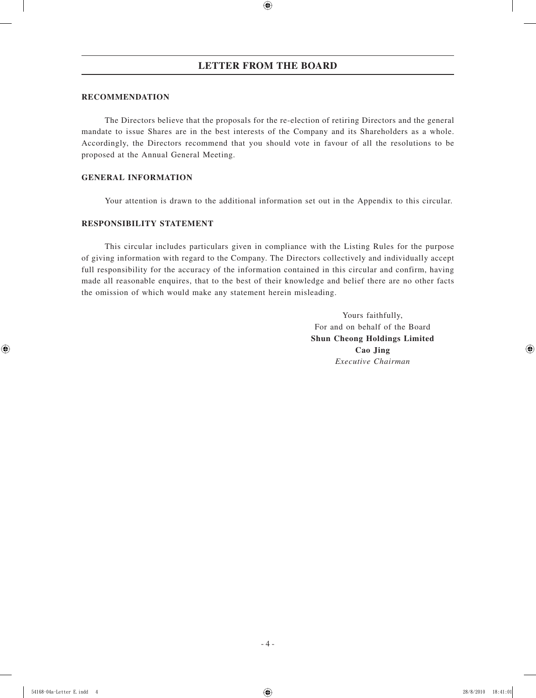#### **RECOMMENDATION**

The Directors believe that the proposals for the re-election of retiring Directors and the general mandate to issue Shares are in the best interests of the Company and its Shareholders as a whole. Accordingly, the Directors recommend that you should vote in favour of all the resolutions to be proposed at the Annual General Meeting.

#### **GENERAL INFORMATION**

Your attention is drawn to the additional information set out in the Appendix to this circular.

### **RESPONSIBILITY STATEMENT**

This circular includes particulars given in compliance with the Listing Rules for the purpose of giving information with regard to the Company. The Directors collectively and individually accept full responsibility for the accuracy of the information contained in this circular and confirm, having made all reasonable enquires, that to the best of their knowledge and belief there are no other facts the omission of which would make any statement herein misleading.

> Yours faithfully, For and on behalf of the Board **Shun Cheong Holdings Limited Cao Jing** *Executive Chairman*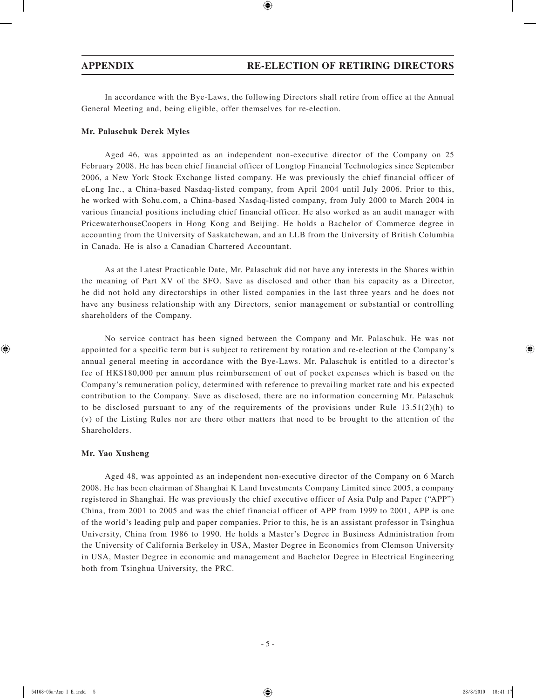In accordance with the Bye-Laws, the following Directors shall retire from office at the Annual General Meeting and, being eligible, offer themselves for re-election.

#### **Mr. Palaschuk Derek Myles**

Aged 46, was appointed as an independent non-executive director of the Company on 25 February 2008. He has been chief financial officer of Longtop Financial Technologies since September 2006, a New York Stock Exchange listed company. He was previously the chief financial officer of eLong Inc., a China-based Nasdaq-listed company, from April 2004 until July 2006. Prior to this, he worked with Sohu.com, a China-based Nasdaq-listed company, from July 2000 to March 2004 in various financial positions including chief financial officer. He also worked as an audit manager with PricewaterhouseCoopers in Hong Kong and Beijing. He holds a Bachelor of Commerce degree in accounting from the University of Saskatchewan, and an LLB from the University of British Columbia in Canada. He is also a Canadian Chartered Accountant.

As at the Latest Practicable Date, Mr. Palaschuk did not have any interests in the Shares within the meaning of Part XV of the SFO. Save as disclosed and other than his capacity as a Director, he did not hold any directorships in other listed companies in the last three years and he does not have any business relationship with any Directors, senior management or substantial or controlling shareholders of the Company.

No service contract has been signed between the Company and Mr. Palaschuk. He was not appointed for a specific term but is subject to retirement by rotation and re-election at the Company's annual general meeting in accordance with the Bye-Laws. Mr. Palaschuk is entitled to a director's fee of HK\$180,000 per annum plus reimbursement of out of pocket expenses which is based on the Company's remuneration policy, determined with reference to prevailing market rate and his expected contribution to the Company. Save as disclosed, there are no information concerning Mr. Palaschuk to be disclosed pursuant to any of the requirements of the provisions under Rule  $13.51(2)(h)$  to (v) of the Listing Rules nor are there other matters that need to be brought to the attention of the Shareholders.

#### **Mr. Yao Xusheng**

Aged 48, was appointed as an independent non-executive director of the Company on 6 March 2008. He has been chairman of Shanghai K Land Investments Company Limited since 2005, a company registered in Shanghai. He was previously the chief executive officer of Asia Pulp and Paper ("APP") China, from 2001 to 2005 and was the chief financial officer of APP from 1999 to 2001, APP is one of the world's leading pulp and paper companies. Prior to this, he is an assistant professor in Tsinghua University, China from 1986 to 1990. He holds a Master's Degree in Business Administration from the University of California Berkeley in USA, Master Degree in Economics from Clemson University in USA, Master Degree in economic and management and Bachelor Degree in Electrical Engineering both from Tsinghua University, the PRC.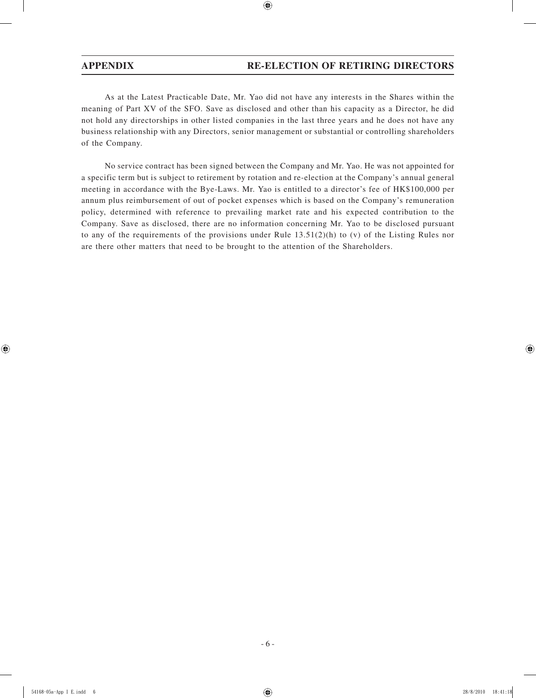As at the Latest Practicable Date, Mr. Yao did not have any interests in the Shares within the meaning of Part XV of the SFO. Save as disclosed and other than his capacity as a Director, he did not hold any directorships in other listed companies in the last three years and he does not have any business relationship with any Directors, senior management or substantial or controlling shareholders of the Company.

No service contract has been signed between the Company and Mr. Yao. He was not appointed for a specific term but is subject to retirement by rotation and re-election at the Company's annual general meeting in accordance with the Bye-Laws. Mr. Yao is entitled to a director's fee of HK\$100,000 per annum plus reimbursement of out of pocket expenses which is based on the Company's remuneration policy, determined with reference to prevailing market rate and his expected contribution to the Company. Save as disclosed, there are no information concerning Mr. Yao to be disclosed pursuant to any of the requirements of the provisions under Rule 13.51(2)(h) to (v) of the Listing Rules nor are there other matters that need to be brought to the attention of the Shareholders.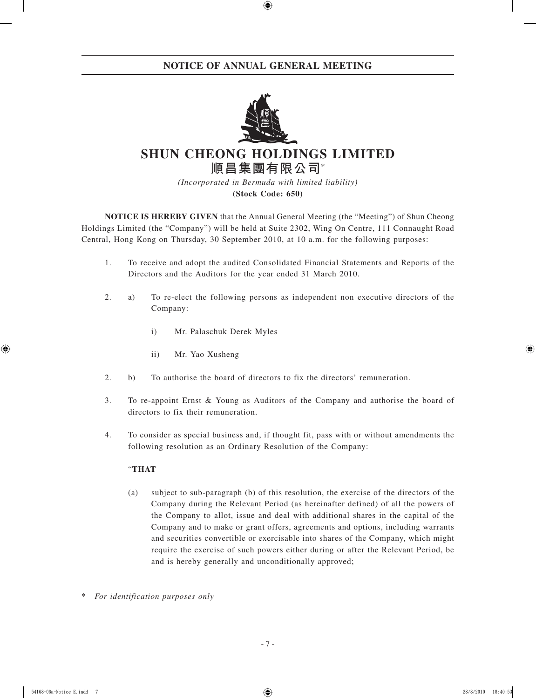## **NOTICE OF ANNUAL GENERAL MEETING**



# **SHUN CHEONG HOLDINGS LIMITED 順昌集團有限公司\***

*(Incorporated in Bermuda with limited liability)* **(Stock Code: 650)**

**NOTICE IS HEREBY GIVEN** that the Annual General Meeting (the "Meeting") of Shun Cheong Holdings Limited (the "Company") will be held at Suite 2302, Wing On Centre, 111 Connaught Road Central, Hong Kong on Thursday, 30 September 2010, at 10 a.m. for the following purposes:

- 1. To receive and adopt the audited Consolidated Financial Statements and Reports of the Directors and the Auditors for the year ended 31 March 2010.
- 2. a) To re-elect the following persons as independent non executive directors of the Company:
	- i) Mr. Palaschuk Derek Myles
	- ii) Mr. Yao Xusheng
- 2. b) To authorise the board of directors to fix the directors' remuneration.
- 3. To re-appoint Ernst & Young as Auditors of the Company and authorise the board of directors to fix their remuneration.
- 4. To consider as special business and, if thought fit, pass with or without amendments the following resolution as an Ordinary Resolution of the Company:

### "**THAT**

- (a) subject to sub-paragraph (b) of this resolution, the exercise of the directors of the Company during the Relevant Period (as hereinafter defined) of all the powers of the Company to allot, issue and deal with additional shares in the capital of the Company and to make or grant offers, agreements and options, including warrants and securities convertible or exercisable into shares of the Company, which might require the exercise of such powers either during or after the Relevant Period, be and is hereby generally and unconditionally approved;
- $For$  *identification purposes only*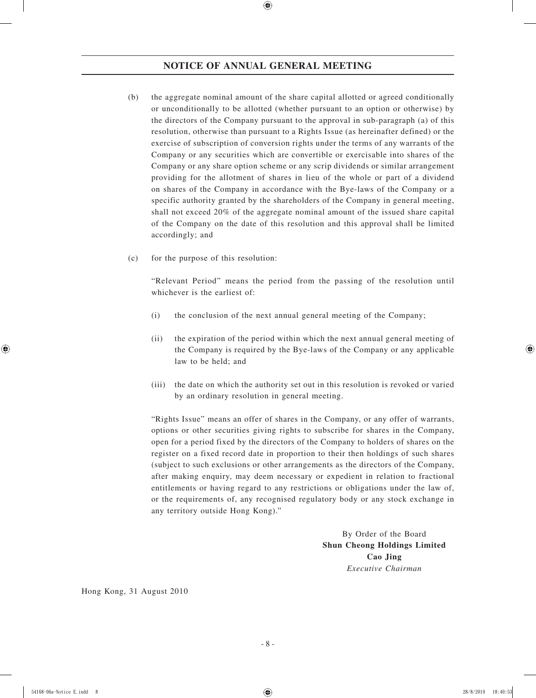## **NOTICE OF ANNUAL GENERAL MEETING**

- (b) the aggregate nominal amount of the share capital allotted or agreed conditionally or unconditionally to be allotted (whether pursuant to an option or otherwise) by the directors of the Company pursuant to the approval in sub-paragraph (a) of this resolution, otherwise than pursuant to a Rights Issue (as hereinafter defined) or the exercise of subscription of conversion rights under the terms of any warrants of the Company or any securities which are convertible or exercisable into shares of the Company or any share option scheme or any scrip dividends or similar arrangement providing for the allotment of shares in lieu of the whole or part of a dividend on shares of the Company in accordance with the Bye-laws of the Company or a specific authority granted by the shareholders of the Company in general meeting, shall not exceed 20% of the aggregate nominal amount of the issued share capital of the Company on the date of this resolution and this approval shall be limited accordingly; and
- (c) for the purpose of this resolution:

"Relevant Period" means the period from the passing of the resolution until whichever is the earliest of:

- (i) the conclusion of the next annual general meeting of the Company;
- (ii) the expiration of the period within which the next annual general meeting of the Company is required by the Bye-laws of the Company or any applicable law to be held; and
- (iii) the date on which the authority set out in this resolution is revoked or varied by an ordinary resolution in general meeting.

"Rights Issue" means an offer of shares in the Company, or any offer of warrants, options or other securities giving rights to subscribe for shares in the Company, open for a period fixed by the directors of the Company to holders of shares on the register on a fixed record date in proportion to their then holdings of such shares (subject to such exclusions or other arrangements as the directors of the Company, after making enquiry, may deem necessary or expedient in relation to fractional entitlements or having regard to any restrictions or obligations under the law of, or the requirements of, any recognised regulatory body or any stock exchange in any territory outside Hong Kong)."

> By Order of the Board **Shun Cheong Holdings Limited Cao Jing** *Executive Chairman*

Hong Kong, 31 August 2010